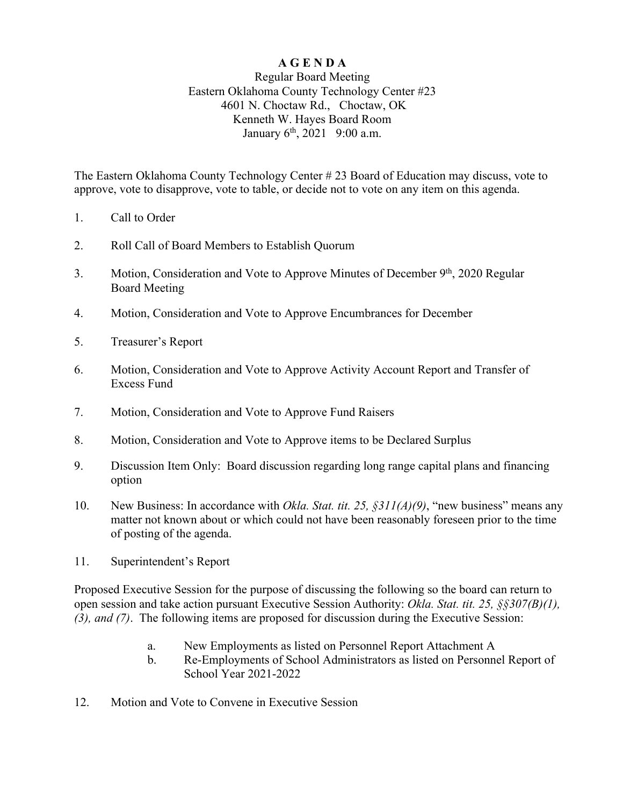# **A G E N D A**

## Regular Board Meeting Eastern Oklahoma County Technology Center #23 4601 N. Choctaw Rd., Choctaw, OK Kenneth W. Hayes Board Room January  $6^{th}$ , 2021 9:00 a.m.

The Eastern Oklahoma County Technology Center # 23 Board of Education may discuss, vote to approve, vote to disapprove, vote to table, or decide not to vote on any item on this agenda.

- 1. Call to Order
- 2. Roll Call of Board Members to Establish Quorum
- 3. Motion, Consideration and Vote to Approve Minutes of December 9<sup>th</sup>, 2020 Regular Board Meeting
- 4. Motion, Consideration and Vote to Approve Encumbrances for December
- 5. Treasurer's Report
- 6. Motion, Consideration and Vote to Approve Activity Account Report and Transfer of Excess Fund
- 7. Motion, Consideration and Vote to Approve Fund Raisers
- 8. Motion, Consideration and Vote to Approve items to be Declared Surplus
- 9. Discussion Item Only: Board discussion regarding long range capital plans and financing option
- 10. New Business: In accordance with *Okla. Stat. tit. 25, §311(A)(9)*, "new business" means any matter not known about or which could not have been reasonably foreseen prior to the time of posting of the agenda.
- 11. Superintendent's Report

Proposed Executive Session for the purpose of discussing the following so the board can return to open session and take action pursuant Executive Session Authority: *Okla. Stat. tit. 25, §§307(B)(1), (3), and (7)*. The following items are proposed for discussion during the Executive Session:

- a. New Employments as listed on Personnel Report Attachment A
- b. Re-Employments of School Administrators as listed on Personnel Report of School Year 2021-2022
- 12. Motion and Vote to Convene in Executive Session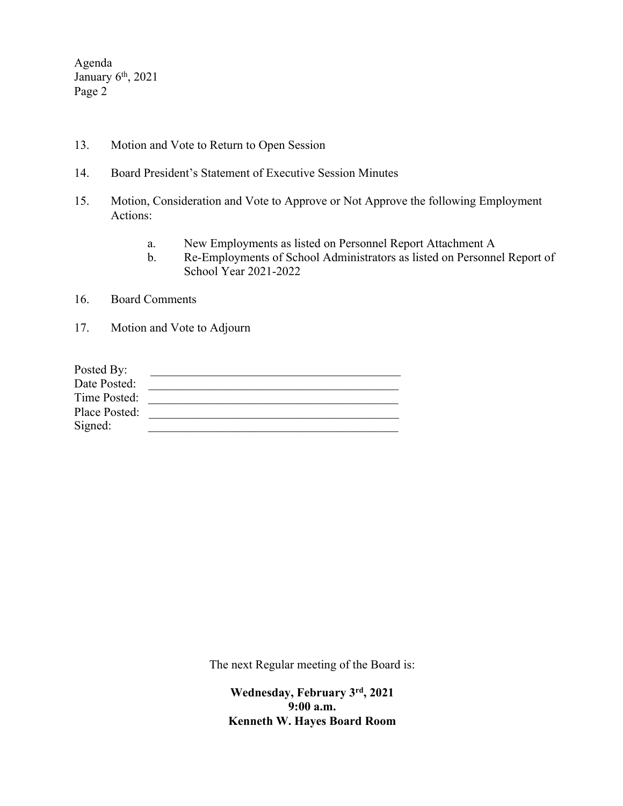Agenda January 6<sup>th</sup>, 2021 Page 2

- 13. Motion and Vote to Return to Open Session
- 14. Board President's Statement of Executive Session Minutes
- 15. Motion, Consideration and Vote to Approve or Not Approve the following Employment Actions:
	- a. New Employments as listed on Personnel Report Attachment A
	- b. Re-Employments of School Administrators as listed on Personnel Report of School Year 2021-2022
- 16. Board Comments
- 17. Motion and Vote to Adjourn

| Posted By:    |  |
|---------------|--|
| Date Posted:  |  |
| Time Posted:  |  |
| Place Posted: |  |
| Signed:       |  |

The next Regular meeting of the Board is:

**Wednesday, February 3rd, 2021 9:00 a.m. Kenneth W. Hayes Board Room**